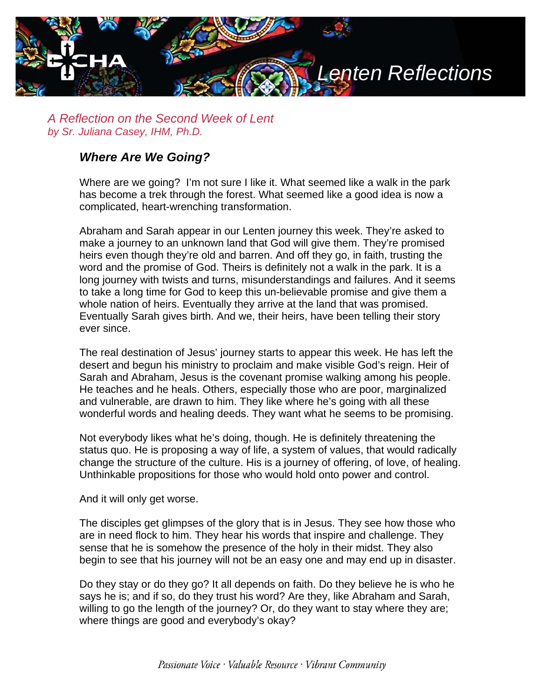

*A Reflection on the Second Week of Lent by Sr. Juliana Casey, IHM, Ph.D.*

## *Where Are We Going?*

Where are we going? I'm not sure I like it. What seemed like a walk in the park has become a trek through the forest. What seemed like a good idea is now a complicated, heart-wrenching transformation.

Abraham and Sarah appear in our Lenten journey this week. They're asked to make a journey to an unknown land that God will give them. They're promised heirs even though they're old and barren. And off they go, in faith, trusting the word and the promise of God. Theirs is definitely not a walk in the park. It is a long journey with twists and turns, misunderstandings and failures. And it seems to take a long time for God to keep this un-believable promise and give them a whole nation of heirs. Eventually they arrive at the land that was promised. Eventually Sarah gives birth. And we, their heirs, have been telling their story ever since.

The real destination of Jesus' journey starts to appear this week. He has left the desert and begun his ministry to proclaim and make visible God's reign. Heir of Sarah and Abraham, Jesus is the covenant promise walking among his people. He teaches and he heals. Others, especially those who are poor, marginalized and vulnerable, are drawn to him. They like where he's going with all these wonderful words and healing deeds. They want what he seems to be promising.

Not everybody likes what he's doing, though. He is definitely threatening the status quo. He is proposing a way of life, a system of values, that would radically change the structure of the culture. His is a journey of offering, of love, of healing. Unthinkable propositions for those who would hold onto power and control.

And it will only get worse.

The disciples get glimpses of the glory that is in Jesus. They see how those who are in need flock to him. They hear his words that inspire and challenge. They sense that he is somehow the presence of the holy in their midst. They also begin to see that his journey will not be an easy one and may end up in disaster.

Do they stay or do they go? It all depends on faith. Do they believe he is who he says he is; and if so, do they trust his word? Are they, like Abraham and Sarah, willing to go the length of the journey? Or, do they want to stay where they are; where things are good and everybody's okay?